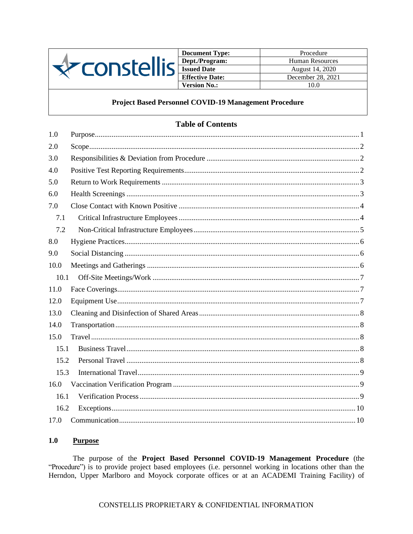

**Document Type:** Procedure Dept./Program: Human Resources **Issued Date** August 14, 2020 **Effective Date:** December 28, 2021 **Version No.:** 10.0

# Project Based Personnel COVID-19 Management Procedure

# **Table of Contents**

| 1.0  |  |
|------|--|
| 2.0  |  |
| 3.0  |  |
| 4.0  |  |
| 5.0  |  |
| 6.0  |  |
| 7.0  |  |
| 7.1  |  |
| 7.2  |  |
| 8.0  |  |
| 9.0  |  |
| 10.0 |  |
| 10.1 |  |
| 11.0 |  |
| 12.0 |  |
| 13.0 |  |
| 14.0 |  |
| 15.0 |  |
| 15.1 |  |
| 15.2 |  |
| 15.3 |  |
| 16.0 |  |
| 16.1 |  |
| 16.2 |  |
| 17.0 |  |

#### <span id="page-0-0"></span> $1.0$ **Purpose**

The purpose of the Project Based Personnel COVID-19 Management Procedure (the "Procedure") is to provide project based employees (i.e. personnel working in locations other than the Herndon, Upper Marlboro and Moyock corporate offices or at an ACADEMI Training Facility) of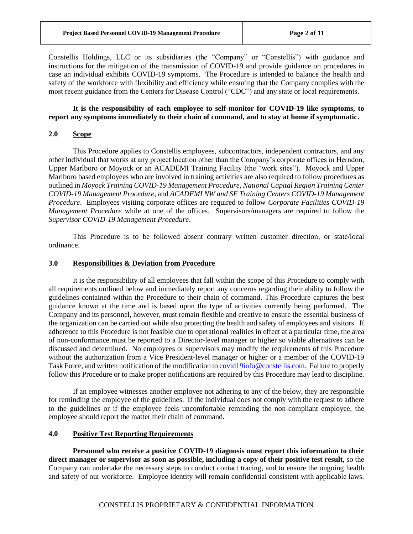Constellis Holdings, LLC or its subsidiaries (the "Company" or "Constellis") with guidance and instructions for the mitigation of the transmission of COVID-19 and provide guidance on procedures in case an individual exhibits COVID-19 symptoms. The Procedure is intended to balance the health and safety of the workforce with flexibility and efficiency while ensuring that the Company complies with the most recent guidance from the Centers for Disease Control ("CDC") and any state or local requirements.

## **It is the responsibility of each employee to self-monitor for COVID-19 like symptoms, to report any symptoms immediately to their chain of command, and to stay at home if symptomatic.**

# <span id="page-1-0"></span>**2.0 Scope**

This Procedure applies to Constellis employees, subcontractors, independent contractors, and any other individual that works at any project location other than the Company's corporate offices in Herndon, Upper Marlboro or Moyock or an ACADEMI Training Facility (the "work sites"). Moyock and Upper Marlboro based employees who are involved in training activities are also required to follow procedures as outlined in *Moyock Training COVID-19 Management Procedure, National Capital Region Training Center COVID-19 Management Procedure*, and *ACADEMI NW and SE Training Centers COVID-19 Management Procedure*. Employees visiting corporate offices are required to follow *Corporate Facilities COVID-19 Management Procedure* while at one of the offices. Supervisors/managers are required to follow the *Supervisor COVID-19 Management Procedure*.

This Procedure is to be followed absent contrary written customer direction, or state/local ordinance.

## <span id="page-1-1"></span>**3.0 Responsibilities & Deviation from Procedure**

It is the responsibility of all employees that fall within the scope of this Procedure to comply with all requirements outlined below and immediately report any concerns regarding their ability to follow the guidelines contained within the Procedure to their chain of command. This Procedure captures the best guidance known at the time and is based upon the type of activities currently being performed. The Company and its personnel, however, must remain flexible and creative to ensure the essential business of the organization can be carried out while also protecting the health and safety of employees and visitors. If adherence to this Procedure is not feasible due to operational realities in effect at a particular time, the area of non-conformance must be reported to a Director-level manager or higher so viable alternatives can be discussed and determined. No employees or supervisors may modify the requirements of this Procedure without the authorization from a Vice President-level manager or higher or a member of the COVID-19 Task Force, and written notification of the modification t[o covid19info@constellis.com.](mailto:covid19info@constellis.com) Failure to properly follow this Procedure or to make proper notifications are required by this Procedure may lead to discipline.

If an employee witnesses another employee not adhering to any of the below, they are responsible for reminding the employee of the guidelines. If the individual does not comply with the request to adhere to the guidelines or if the employee feels uncomfortable reminding the non-compliant employee, the employee should report the matter their chain of command.

### <span id="page-1-2"></span>**4.0 Positive Test Reporting Requirements**

**Personnel who receive a positive COVID-19 diagnosis must report this information to their direct manager or supervisor as soon as possible, including a copy of their positive test result,** so the Company can undertake the necessary steps to conduct contact tracing, and to ensure the ongoing health and safety of our workforce. Employee identity will remain confidential consistent with applicable laws.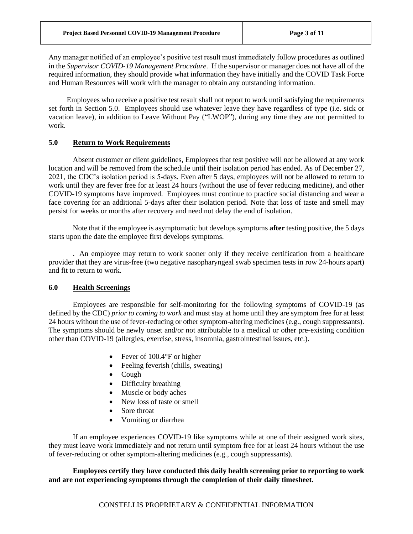Any manager notified of an employee's positive test result must immediately follow procedures as outlined in the *Supervisor COVID-19 Management Procedure.* If the supervisor or manager does not have all of the required information, they should provide what information they have initially and the COVID Task Force and Human Resources will work with the manager to obtain any outstanding information.

Employees who receive a positive test result shall not report to work until satisfying the requirements set forth in Section 5.0. Employees should use whatever leave they have regardless of type (i.e. sick or vacation leave), in addition to Leave Without Pay ("LWOP"), during any time they are not permitted to work.

# <span id="page-2-0"></span>**5.0 Return to Work Requirements**

Absent customer or client guidelines, Employees that test positive will not be allowed at any work location and will be removed from the schedule until their isolation period has ended. As of December 27, 2021, the CDC's isolation period is 5-days. Even after 5 days, employees will not be allowed to return to work until they are fever free for at least 24 hours (without the use of fever reducing medicine), and other COVID-19 symptoms have improved. Employees must continue to practice social distancing and wear a face covering for an additional 5-days after their isolation period. Note that loss of taste and smell may persist for weeks or months after recovery and need not delay the end of isolation.

Note that if the employee is asymptomatic but develops symptoms **after** testing positive, the 5 days starts upon the date the employee first develops symptoms.

. An employee may return to work sooner only if they receive certification from a healthcare provider that they are virus-free (two negative nasopharyngeal swab specimen tests in row 24-hours apart) and fit to return to work.

## <span id="page-2-1"></span>**6.0 Health Screenings**

Employees are responsible for self-monitoring for the following symptoms of COVID-19 (as defined by the CDC) *prior to coming to work* and must stay at home until they are symptom free for at least 24 hours without the use of fever-reducing or other symptom-altering medicines (e.g., cough suppressants). The symptoms should be newly onset and/or not attributable to a medical or other pre-existing condition other than COVID-19 (allergies, exercise, stress, insomnia, gastrointestinal issues, etc.).

- Fever of 100.4°F or higher
- Feeling feverish (chills, sweating)
- Cough
- Difficulty breathing
- Muscle or body aches
- New loss of taste or smell
- Sore throat
- Vomiting or diarrhea

If an employee experiences COVID-19 like symptoms while at one of their assigned work sites, they must leave work immediately and not return until symptom free for at least 24 hours without the use of fever-reducing or other symptom-altering medicines (e.g., cough suppressants).

**Employees certify they have conducted this daily health screening prior to reporting to work and are not experiencing symptoms through the completion of their daily timesheet.**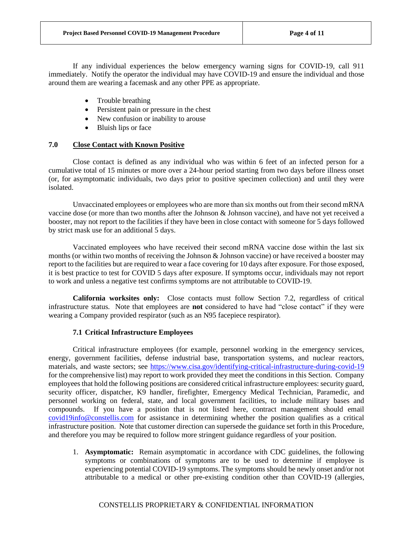If any individual experiences the below emergency warning signs for COVID-19, call 911 immediately. Notify the operator the individual may have COVID-19 and ensure the individual and those around them are wearing a facemask and any other PPE as appropriate.

- Trouble breathing
- Persistent pain or pressure in the chest
- New confusion or inability to arouse
- Bluish lips or face

# <span id="page-3-0"></span>**7.0 Close Contact with Known Positive**

Close contact is defined as any individual who was within 6 feet of an infected person for a cumulative total of 15 minutes or more over a 24-hour period starting from two days before illness onset (or, for asymptomatic individuals, two days prior to positive specimen collection) and until they were isolated.

Unvaccinated employees or employees who are more than six months out from their second mRNA vaccine dose (or more than two months after the Johnson & Johnson vaccine), and have not yet received a booster, may not report to the facilities if they have been in close contact with someone for 5 days followed by strict mask use for an additional 5 days.

Vaccinated employees who have received their second mRNA vaccine dose within the last six months (or within two months of receiving the Johnson & Johnson vaccine) or have received a booster may report to the facilities but are required to wear a face covering for 10 days after exposure. For those exposed, it is best practice to test for COVID 5 days after exposure. If symptoms occur, individuals may not report to work and unless a negative test confirms symptoms are not attributable to COVID-19.

**California worksites only:** Close contacts must follow Section 7.2, regardless of critical infrastructure status. Note that employees are **not** considered to have had "close contact" if they were wearing a Company provided respirator (such as an N95 facepiece respirator).

# **7.1 Critical Infrastructure Employees**

<span id="page-3-1"></span>Critical infrastructure employees (for example, personnel working in the emergency services, energy, government facilities, defense industrial base, transportation systems, and nuclear reactors, materials, and waste sectors; see<https://www.cisa.gov/identifying-critical-infrastructure-during-covid-19> for the comprehensive list) may report to work provided they meet the conditions in this Section. Company employees that hold the following positions are considered critical infrastructure employees: security guard, security officer, dispatcher, K9 handler, firefighter, Emergency Medical Technician, Paramedic, and personnel working on federal, state, and local government facilities, to include military bases and compounds. If you have a position that is not listed here, contract management should email [covid19info@constellis.com](mailto:covid19info@constellis.com) for assistance in determining whether the position qualifies as a critical infrastructure position. Note that customer direction can supersede the guidance set forth in this Procedure, and therefore you may be required to follow more stringent guidance regardless of your position.

1. **Asymptomatic:** Remain asymptomatic in accordance with CDC guidelines, the following symptoms or combinations of symptoms are to be used to determine if employee is experiencing potential COVID-19 symptoms. The symptoms should be newly onset and/or not attributable to a medical or other pre-existing condition other than COVID-19 (allergies,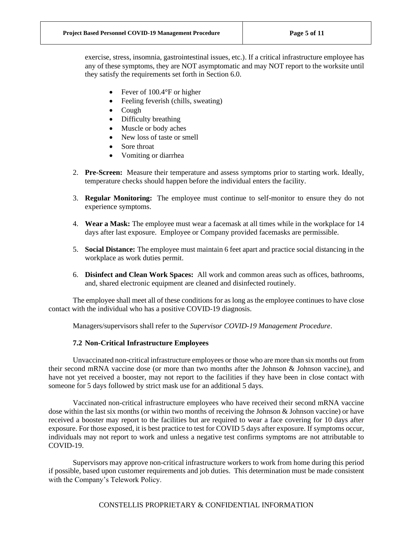exercise, stress, insomnia, gastrointestinal issues, etc.). If a critical infrastructure employee has any of these symptoms, they are NOT asymptomatic and may NOT report to the worksite until they satisfy the requirements set forth in Section 6.0.

- Fever of 100.4°F or higher
- Feeling feverish (chills, sweating)
- Cough
- Difficulty breathing
- Muscle or body aches
- New loss of taste or smell
- Sore throat
- Vomiting or diarrhea
- 2. **Pre-Screen:** Measure their temperature and assess symptoms prior to starting work. Ideally, temperature checks should happen before the individual enters the facility.
- 3. **Regular Monitoring:** The employee must continue to self-monitor to ensure they do not experience symptoms.
- 4. **Wear a Mask:** The employee must wear a facemask at all times while in the workplace for 14 days after last exposure. Employee or Company provided facemasks are permissible.
- 5. **Social Distance:** The employee must maintain 6 feet apart and practice social distancing in the workplace as work duties permit.
- 6. **Disinfect and Clean Work Spaces:** All work and common areas such as offices, bathrooms, and, shared electronic equipment are cleaned and disinfected routinely.

The employee shall meet all of these conditions for as long as the employee continues to have close contact with the individual who has a positive COVID-19 diagnosis.

Managers/supervisors shall refer to the *Supervisor COVID-19 Management Procedure*.

# **7.2 Non-Critical Infrastructure Employees**

<span id="page-4-0"></span>Unvaccinated non-critical infrastructure employees or those who are more than six months out from their second mRNA vaccine dose (or more than two months after the Johnson & Johnson vaccine), and have not yet received a booster, may not report to the facilities if they have been in close contact with someone for 5 days followed by strict mask use for an additional 5 days.

Vaccinated non-critical infrastructure employees who have received their second mRNA vaccine dose within the last six months (or within two months of receiving the Johnson & Johnson vaccine) or have received a booster may report to the facilities but are required to wear a face covering for 10 days after exposure. For those exposed, it is best practice to test for COVID 5 days after exposure. If symptoms occur, individuals may not report to work and unless a negative test confirms symptoms are not attributable to COVID-19.

Supervisors may approve non-critical infrastructure workers to work from home during this period if possible, based upon customer requirements and job duties. This determination must be made consistent with the Company's Telework Policy.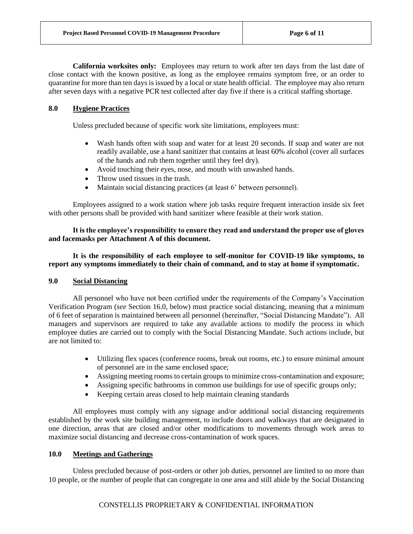**California worksites only:** Employees may return to work after ten days from the last date of close contact with the known positive, as long as the employee remains symptom free, or an order to quarantine for more than ten days is issued by a local or state health official. The employee may also return after seven days with a negative PCR test collected after day five if there is a critical staffing shortage.

# <span id="page-5-0"></span>**8.0 Hygiene Practices**

Unless precluded because of specific work site limitations, employees must:

- Wash hands often with soap and water for at least 20 seconds. If soap and water are not readily available, use a hand sanitizer that contains at least 60% alcohol (cover all surfaces of the hands and rub them together until they feel dry).
- Avoid touching their eyes, nose, and mouth with unwashed hands.
- Throw used tissues in the trash.
- Maintain social distancing practices (at least 6' between personnel).

Employees assigned to a work station where job tasks require frequent interaction inside six feet with other persons shall be provided with hand sanitizer where feasible at their work station.

# **It is the employee's responsibility to ensure they read and understand the proper use of gloves and facemasks per Attachment A of this document.**

**It is the responsibility of each employee to self-monitor for COVID-19 like symptoms, to report any symptoms immediately to their chain of command, and to stay at home if symptomatic.**

# <span id="page-5-1"></span>**9.0 Social Distancing**

All personnel who have not been certified under the requirements of the Company's Vaccination Verification Program (*see* Section 16.0, below) must practice social distancing, meaning that a minimum of 6 feet of separation is maintained between all personnel (hereinafter, "Social Distancing Mandate"). All managers and supervisors are required to take any available actions to modify the process in which employee duties are carried out to comply with the Social Distancing Mandate. Such actions include, but are not limited to:

- Utilizing flex spaces (conference rooms, break out rooms, etc.) to ensure minimal amount of personnel are in the same enclosed space;
- Assigning meeting rooms to certain groups to minimize cross-contamination and exposure;
- Assigning specific bathrooms in common use buildings for use of specific groups only;
- Keeping certain areas closed to help maintain cleaning standards

All employees must comply with any signage and/or additional social distancing requirements established by the work site building management, to include doors and walkways that are designated in one direction, areas that are closed and/or other modifications to movements through work areas to maximize social distancing and decrease cross-contamination of work spaces.

# <span id="page-5-2"></span>**10.0 Meetings and Gatherings**

Unless precluded because of post-orders or other job duties, personnel are limited to no more than 10 people, or the number of people that can congregate in one area and still abide by the Social Distancing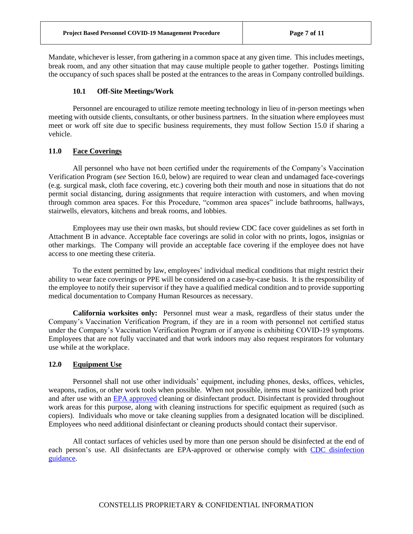Mandate, whichever is lesser, from gathering in a common space at any given time. This includes meetings, break room, and any other situation that may cause multiple people to gather together. Postings limiting the occupancy of such spaces shall be posted at the entrances to the areas in Company controlled buildings.

## **10.1 Off-Site Meetings/Work**

<span id="page-6-0"></span>Personnel are encouraged to utilize remote meeting technology in lieu of in-person meetings when meeting with outside clients, consultants, or other business partners. In the situation where employees must meet or work off site due to specific business requirements, they must follow Section 15.0 if sharing a vehicle.

#### <span id="page-6-1"></span>**11.0 Face Coverings**

All personnel who have not been certified under the requirements of the Company's Vaccination Verification Program (*see* Section 16.0, below) are required to wear clean and undamaged face-coverings (e.g. surgical mask, cloth face covering, etc.) covering both their mouth and nose in situations that do not permit social distancing, during assignments that require interaction with customers, and when moving through common area spaces. For this Procedure, "common area spaces" include bathrooms, hallways, stairwells, elevators, kitchens and break rooms, and lobbies.

Employees may use their own masks, but should review CDC face cover guidelines as set forth in Attachment B in advance. Acceptable face coverings are solid in color with no prints, logos, insignias or other markings. The Company will provide an acceptable face covering if the employee does not have access to one meeting these criteria.

To the extent permitted by law, employees' individual medical conditions that might restrict their ability to wear face coverings or PPE will be considered on a case-by-case basis. It is the responsibility of the employee to notify their supervisor if they have a qualified medical condition and to provide supporting medical documentation to Company Human Resources as necessary.

**California worksites only:** Personnel must wear a mask, regardless of their status under the Company's Vaccination Verification Program, if they are in a room with personnel not certified status under the Company's Vaccination Verification Program or if anyone is exhibiting COVID-19 symptoms. Employees that are not fully vaccinated and that work indoors may also request respirators for voluntary use while at the workplace.

#### <span id="page-6-2"></span>**12.0 Equipment Use**

Personnel shall not use other individuals' equipment, including phones, desks, offices, vehicles, weapons, radios, or other work tools when possible. When not possible, items must be sanitized both prior and after use with an [EPA approved](https://www.epa.gov/pesticide-registration/list-n-disinfectants-use-against-sars-cov-2-covid-19) cleaning or disinfectant product. Disinfectant is provided throughout work areas for this purpose, along with cleaning instructions for specific equipment as required (such as copiers). Individuals who move or take cleaning supplies from a designated location will be disciplined. Employees who need additional disinfectant or cleaning products should contact their supervisor.

All contact surfaces of vehicles used by more than one person should be disinfected at the end of each person's use. All disinfectants are EPA-approved or otherwise comply with [CDC disinfection](https://www.cdc.gov/coronavirus/2019-ncov/community/reopen-guidance.html?deliveryName=USCDC_2067-DM26911)  [guidance.](https://www.cdc.gov/coronavirus/2019-ncov/community/reopen-guidance.html?deliveryName=USCDC_2067-DM26911)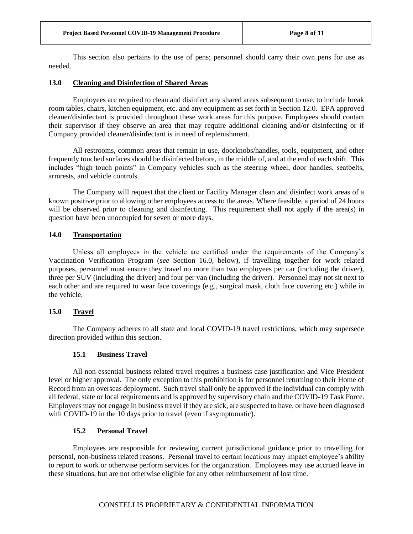This section also pertains to the use of pens; personnel should carry their own pens for use as needed.

# <span id="page-7-0"></span>**13.0 Cleaning and Disinfection of Shared Areas**

Employees are required to clean and disinfect any shared areas subsequent to use, to include break room tables, chairs, kitchen equipment, etc. and any equipment as set forth in Section 12.0. EPA approved cleaner/disinfectant is provided throughout these work areas for this purpose. Employees should contact their supervisor if they observe an area that may require additional cleaning and/or disinfecting or if Company provided cleaner/disinfectant is in need of replenishment.

All restrooms, common areas that remain in use, doorknobs/handles, tools, equipment, and other frequently touched surfaces should be disinfected before, in the middle of, and at the end of each shift. This includes "high touch points" in Company vehicles such as the steering wheel, door handles, seatbelts, armrests, and vehicle controls.

The Company will request that the client or Facility Manager clean and disinfect work areas of a known positive prior to allowing other employees access to the areas. Where feasible, a period of 24 hours will be observed prior to cleaning and disinfecting. This requirement shall not apply if the area(s) in question have been unoccupied for seven or more days.

## <span id="page-7-1"></span>**14.0 Transportation**

Unless all employees in the vehicle are certified under the requirements of the Company's Vaccination Verification Program (*see* Section 16.0, below), if travelling together for work related purposes, personnel must ensure they travel no more than two employees per car (including the driver), three per SUV (including the driver) and four per van (including the driver). Personnel may not sit next to each other and are required to wear face coverings (e.g., surgical mask, cloth face covering etc.) while in the vehicle.

# <span id="page-7-2"></span>**15.0 Travel**

The Company adheres to all state and local COVID-19 travel restrictions, which may supersede direction provided within this section.

#### **15.1 Business Travel**

<span id="page-7-3"></span>All non-essential business related travel requires a business case justification and Vice President level or higher approval. The only exception to this prohibition is for personnel returning to their Home of Record from an overseas deployment. Such travel shall only be approved if the individual can comply with all federal, state or local requirements and is approved by supervisory chain and the COVID-19 Task Force. Employees may not engage in business travel if they are sick, are suspected to have, or have been diagnosed with COVID-19 in the 10 days prior to travel (even if asymptomatic).

## **15.2 Personal Travel**

<span id="page-7-4"></span>Employees are responsible for reviewing current jurisdictional guidance prior to travelling for personal, non-business related reasons. Personal travel to certain locations may impact employee's ability to report to work or otherwise perform services for the organization. Employees may use accrued leave in these situations, but are not otherwise eligible for any other reimbursement of lost time.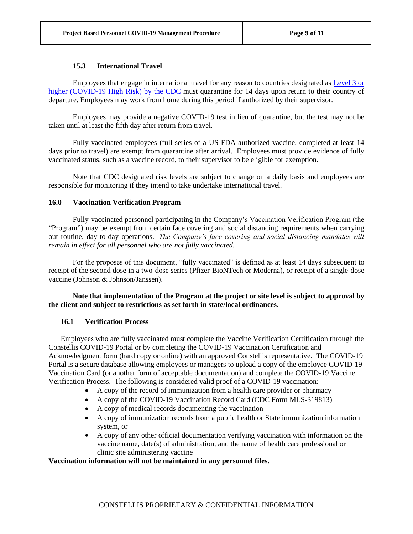## **15.3 International Travel**

<span id="page-8-0"></span>Employees that engage in international travel for any reason to countries designated as [Level 3 or](https://www.cdc.gov/coronavirus/2019-ncov/travelers/map-and-travel-notices.html)  [higher \(COVID-19 High Risk\) by the CDC](https://www.cdc.gov/coronavirus/2019-ncov/travelers/map-and-travel-notices.html) must quarantine for 14 days upon return to their country of departure. Employees may work from home during this period if authorized by their supervisor.

Employees may provide a negative COVID-19 test in lieu of quarantine, but the test may not be taken until at least the fifth day after return from travel.

Fully vaccinated employees (full series of a US FDA authorized vaccine, completed at least 14 days prior to travel) are exempt from quarantine after arrival. Employees must provide evidence of fully vaccinated status, such as a vaccine record, to their supervisor to be eligible for exemption.

Note that CDC designated risk levels are subject to change on a daily basis and employees are responsible for monitoring if they intend to take undertake international travel.

# <span id="page-8-1"></span>**16.0 Vaccination Verification Program**

Fully-vaccinated personnel participating in the Company's Vaccination Verification Program (the "Program") may be exempt from certain face covering and social distancing requirements when carrying out routine, day-to-day operations. *The Company's face covering and social distancing mandates will remain in effect for all personnel who are not fully vaccinated.*

For the proposes of this document, "fully vaccinated" is defined as at least 14 days subsequent to receipt of the second dose in a two-dose series (Pfizer-BioNTech or Moderna), or receipt of a single-dose vaccine (Johnson & Johnson/Janssen).

## **Note that implementation of the Program at the project or site level is subject to approval by the client and subject to restrictions as set forth in state/local ordinances.**

#### <span id="page-8-2"></span>**16.1 Verification Process**

Employees who are fully vaccinated must complete the Vaccine Verification Certification through the Constellis COVID-19 Portal or by completing the COVID-19 Vaccination Certification and Acknowledgment form (hard copy or online) with an approved Constellis representative. The COVID-19 Portal is a secure database allowing employees or managers to upload a copy of the employee COVID-19 Vaccination Card (or another form of acceptable documentation) and complete the COVID-19 Vaccine Verification Process. The following is considered valid proof of a COVID-19 vaccination:

- A copy of the record of immunization from a health care provider or pharmacy
- A copy of the COVID-19 Vaccination Record Card (CDC Form MLS-319813)
- A copy of medical records documenting the vaccination
- A copy of immunization records from a public health or State immunization information system, or
- A copy of any other official documentation verifying vaccination with information on the vaccine name, date(s) of administration, and the name of health care professional or clinic site administering vaccine

## **Vaccination information will not be maintained in any personnel files.**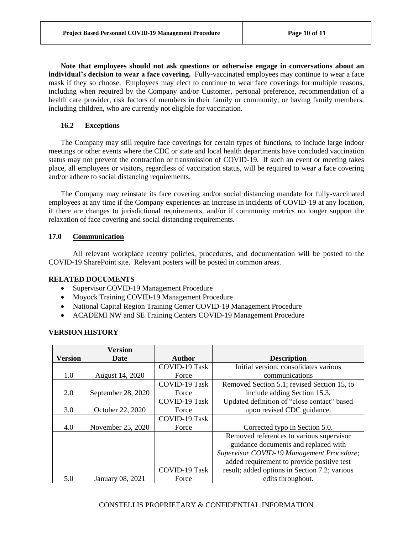**Note that employees should not ask questions or otherwise engage in conversations about an individual's decision to wear a face covering.** Fully-vaccinated employees may continue to wear a face mask if they so choose. Employees may elect to continue to wear face coverings for multiple reasons, including when required by the Company and/or Customer, personal preference, recommendation of a health care provider, risk factors of members in their family or community, or having family members, including children, who are currently not eligible for vaccination.

# <span id="page-9-0"></span>**16.2 Exceptions**

The Company may still require face coverings for certain types of functions, to include large indoor meetings or other events where the CDC or state and local health departments have concluded vaccination status may not prevent the contraction or transmission of COVID-19. If such an event or meeting takes place, all employees or visitors, regardless of vaccination status, will be required to wear a face covering and/or adhere to social distancing requirements.

The Company may reinstate its face covering and/or social distancing mandate for fully-vaccinated employees at any time if the Company experiences an increase in incidents of COVID-19 at any location, if there are changes to jurisdictional requirements, and/or if community metrics no longer support the relaxation of face covering and social distancing requirements.

# <span id="page-9-1"></span>**17.0 Communication**

All relevant workplace reentry policies, procedures, and documentation will be posted to the COVID-19 SharePoint site. Relevant posters will be posted in common areas.

# **RELATED DOCUMENTS**

- Supervisor COVID-19 Management Procedure
- Moyock Training COVID-19 Management Procedure
- National Capital Region Training Center COVID-19 Management Procedure
- ACADEMI NW and SE Training Centers COVID-19 Management Procedure

# **VERSION HISTORY**

|                | <b>Version</b>     |               |                                               |
|----------------|--------------------|---------------|-----------------------------------------------|
| <b>Version</b> | <b>Date</b>        | Author        | <b>Description</b>                            |
|                |                    | COVID-19 Task | Initial version; consolidates various         |
| 1.0            | August 14, 2020    | Force         | communications                                |
|                |                    | COVID-19 Task | Removed Section 5.1; revised Section 15, to   |
| 2.0            | September 28, 2020 | Force         | include adding Section 15.3.                  |
|                |                    | COVID-19 Task | Updated definition of "close contact" based   |
| 3.0            | October 22, 2020   | Force         | upon revised CDC guidance.                    |
|                |                    | COVID-19 Task |                                               |
| 4.0            | November 25, 2020  | Force         | Corrected typo in Section 5.0.                |
|                |                    |               | Removed references to various supervisor      |
|                |                    |               | guidance documents and replaced with          |
|                |                    |               | Supervisor COVID-19 Management Procedure;     |
|                |                    |               | added requirement to provide positive test    |
|                |                    | COVID-19 Task | result; added options in Section 7.2; various |
| 5.0            | January 08, 2021   | Force         | edits throughout.                             |